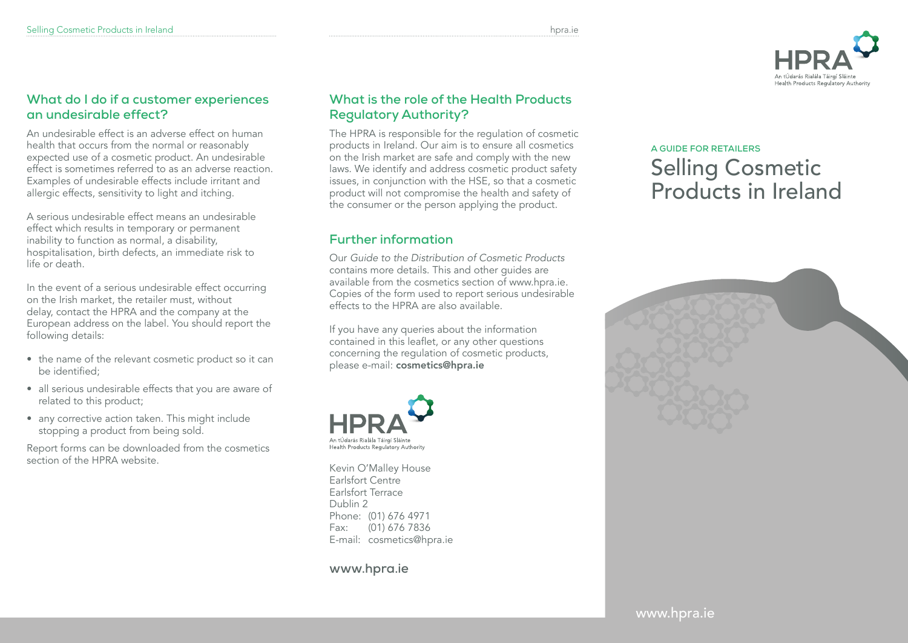

#### **What do I do if a customer experiences an undesirable effect?**

An undesirable effect is an adverse effect on human health that occurs from the normal or reasonably expected use of a cosmetic product. An undesirable effect is sometimes referred to as an adverse reaction. Examples of undesirable effects include irritant and allergic effects, sensitivity to light and itching.

A serious undesirable effect means an undesirable effect which results in temporary or permanent inability to function as normal, a disability, hospitalisation, birth defects, an immediate risk to life or death.

In the event of a serious undesirable effect occurring on the Irish market, the retailer must, without delay, contact the HPRA and the company at the European address on the label. You should report the following details:

- the name of the relevant cosmetic product so it can be identified;
- all serious undesirable effects that you are aware of related to this product;
- any corrective action taken. This might include stopping a product from being sold.

Report forms can be downloaded from the cosmetics section of the HPRA website.

#### **What is the role of the Health Products Regulatory Authority?**

The HPRA is responsible for the regulation of cosmetic products in Ireland. Our aim is to ensure all cosmetics on the Irish market are safe and comply with the new laws. We identify and address cosmetic product safety issues, in conjunction with the HSE, so that a cosmetic product will not compromise the health and safety of the consumer or the person applying the product.

# **Further information**

Our *Guide to the Distribution of Cosmetic Products*  contains more details. This and other guides are available from the cosmetics section of www.hpra.ie. Copies of the form used to report serious undesirable effects to the HPRA are also available.

If you have any queries about the information contained in this leaflet, or any other questions concerning the regulation of cosmetic products, please e-mail: cosmetics@hpra.ie



Kevin O'Malley House Earlsfort Centre Earlsfort Terrace Dublin 2 Phone: (01) 676 4971 Fax: (01) 676 7836 E-mail: cosmetics@hpra.ie

#### **www.hpra.ie**

# **A GUIDE FOR RETAILERS** Selling Cosmetic Products in Ireland